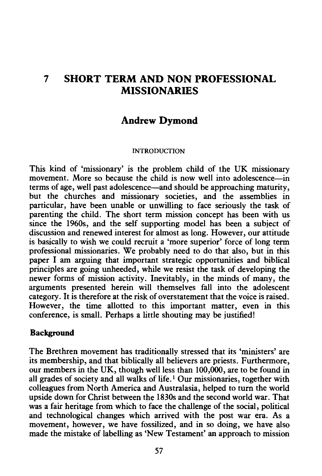# **7 SHORT TERM AND NON PROFESSIONAL MISSIONARIES**

## **Andrew Dymond**

#### INTRODUCTION

This kind of 'missionary' is the problem child of the UK missionary movement. More so because the child is now well into adolescence—in terms of age, well past adolescence-and should be approaching maturity, but the churches and missionary societies, and the assemblies in particular, have been unable or unwilling to face seriously the task of parenting the child. The short term mission concept has been with us since the 1960s, and the self supporting model has been a subject of discussion and renewed interest for almost as long. However, our attitude is basically to wish we could recruit a 'more superior' force of long term professional missionaries. We probably need to do that also, but in this paper I am arguing that important strategic opportunities and biblical principles are going unheeded, while we resist the task of developing the newer forms of mission activity. Inevitably, in the minds of many, the arguments presented herein will themselves fall into the adolescent category. It is therefore at the risk of overstatement that the voice is raised. However, the time allotted to this important matter, even in this conference, is small. Perhaps a little shouting may be justified!

#### **Background**

The Brethren movement has traditionally stressed that its 'ministers' are its membership, and that biblically all believers are priests. Furthermore, our members in the UK, though well less than 100,000, are to be found in all grades of society and all walks of life.<sup>1</sup> Our missionaries, together with colleagues from North America and Australasia, helped to turn the world upside down for Christ between the 1830s and the second world war. That was a fair heritage from which to face the challenge of the social, political and technological changes which arrived with the post war era. As a movement, however, we have fossilized, and in so doing, we have also made the mistake of labelling as 'New Testament' an approach to mission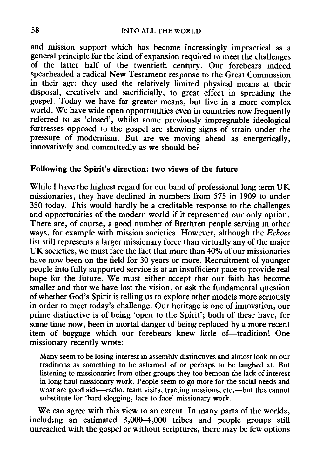and mission support which has become increasingly impractical as a general principle for the kind of expansion required to meet the challenges of the latter half of the twentieth century. Our forebears indeed spearheaded a radical New Testament response to the Great Commission in their age: they used the relatively limited physical means at their disposal, creatively and sacrificially, to great effect in spreading the gospel. Today we have far greater means, but live in a more complex world. We have wide open opportunities even in countries now frequently referred to as 'closed', whilst some previously impregnable ideological fortresses opposed to the gospel are showing signs of strain under the pressure of modernism. But are we moving ahead as energetically, innovatively and committedly as we should be?

## Following the Spirit's direction: two views of the future

While I have the highest regard for our band of professional long term UK missionaries, they have declined in numbers from 575 in 1909 to under 350 today. This would hardly be a creditable response to the challenges and opportunities of the modern world if it represented our only option. There are, of course, a good number of Brethren people serving in other ways, for example with mission societies. However, although the *Echoes*  list still represents a larger missionary force than virtually any of the major UK societies, we must face the fact that more than 40% of our missionaries have now been on the field for 30 years or more. Recruitment of younger people into fully supported service is at an insufficient pace to provide real hope for the future. We must either accept that our faith has become smaller and that we have lost the vision, or ask the fundamental question of whether God's Spirit is telling us to explore other models more seriously in order to meet today's challenge. Our heritage is one of innovation, our prime distinctive is of being 'open to the Spirit'; both of these have, for some time now, been in mortal danger of being replaced by a more recent item of baggage which our forebears knew little of-tradition! One missionary recently wrote:

Many seem to be losing interest in assembly distinctives and almost look on our traditions as something to be ashamed of or perhaps to be laughed at. But listening to missionaries from other groups they too bemoan the lack of interest in long haul missionary work. People seem to go more for the social needs and what are good aids—radio, team visits, tracting missions, etc.—but this cannot substitute for 'hard slogging, face to face' missionary work.

We can agree with this view to an extent. In many parts of the worlds, including an estimated 3,000-4,000 tribes and people groups still unreached with the gospel or without scriptures, there may be few options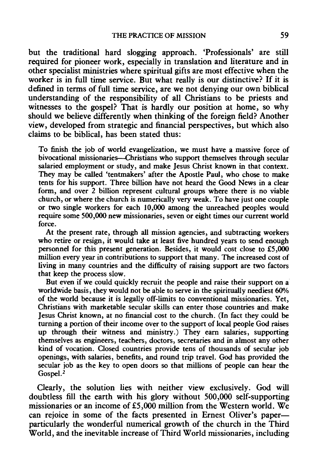but the traditional hard slogging approach. 'Professionals' are still required for pioneer work, especially in translation and literature and in other specialist ministries where spiritual gifts are most effective when the worker is in full time service. But what really is our distinctive? If it is defined in terms of full time service, are we not denying our own biblical understanding of the responsibility of all Christians to be priests and witnesses to the gospel? That is hardly our position at home, so why should we believe differently when thinking of the foreign field? Another view, developed from strategic and financial perspectives, but which also claims to be biblical, has been stated thus:

To finish the job of world evangelization, we must have a massive force of bivocational missionaries--Christians who support themselves through secular salaried employment or study, and make Jesus Christ known in that context. They may be called 'tentmakers' after the Apostle Paul, who chose to make tents for his support. Three billion have not heard the Good News in a clear form, and over 2 billion represent cultural groups where there is no viable church, or where the church is numerically very weak. To have just one couple or two single workers for each 10,000 among the unreached peoples would require some 500,000 new missionaries, seven or eight times our current world force.

At the present rate, through all mission agencies, and subtracting workers who retire or resign, it would take at least five hundred years to send enough personnel for this present generation. Besides, it would cost close to £5,000 million every year in contributions to support that many. The increased cost of living in many countries and the difficulty of raising support are two factors that keep the process slow.

But even if we could quickly recruit the people and raise their support on a worldwide basis, they would not be able to serve in the spiritually neediest 60% of the world because it is legally off-limits to conventional missionaries. Yet, Christians with marketable secular skills can enter those countries and make Jesus Christ known, at no financial cost to the church. (In fact they could be turning a portion of their income over to the support of local people God raises up through their witness and ministry.) They earn salaries, supporting themselves as engineers, teachers, doctors, secretaries and in almost any other kind of vocation. Closed countries provide tens of thousands of secular job openings, with salaries, benefits, and round trip travel. God has provided the secular job as the key to open doors so that millions of people can hear the Gospel.<sup>2</sup>

Clearly, the solution lies with neither view exclusively. God will doubtless fill the earth with his glory without 500,000 self-supporting missionaries or an income of £5,000 million from the Western world. We can rejoice in some of the facts presented in Ernest Oliver's paper particularly the wonderful numerical growth of the church in the Third World, and the inevitable increase of Third World missionaries, including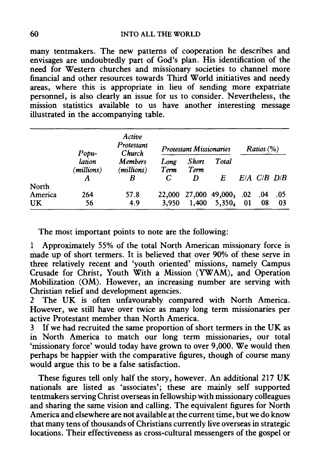### 60 INTO ALL THE WORLD

many tentmakers. The new patterns of cooperation he describes and envisages are undoubtedly part of God's plan. His identification of the need for Western churches and missionary societies to channel more financial and other resources towards Third World initiatives and needy areas, where this is appropriate in lieu of sending more expatriate personnel, is also clearly an issue for us to consider. Nevertheless, the mission statistics available to us have another interesting message illustrated in the accompanying table.

|         | Popu-<br>lation<br>(millions)<br>A | Active<br>Protestant<br>Church<br><b>Members</b><br>(millions)<br>R | <b>Protestant Missionaries</b> |                    |                     | Ratios ( %) |     |                   |
|---------|------------------------------------|---------------------------------------------------------------------|--------------------------------|--------------------|---------------------|-------------|-----|-------------------|
|         |                                    |                                                                     | Long<br>Term<br>C              | Short<br>Term<br>D | Total<br>E          |             |     | $E/A$ $C/B$ $D/B$ |
| North   |                                    |                                                                     |                                |                    |                     |             |     |                   |
| America | 264                                | 57.8                                                                | 22,000                         |                    | $27,000$ 49,000, 02 |             | .04 | .05               |
| UK      | 56                                 | 4.9                                                                 | 3,950                          | 1,400              | $5,350_4$           | -01         | 08  | 03                |

The most important points to note are the following:

1 Approximately 55% of the total North American missionary force is made up of short termers. It is believed that over 90% of these serve in three relatively recent and 'youth oriented' missions, namely Campus Crusade for Christ, Youth With a Mission (YWAM), and Operation Mobilization (OM). However, an increasing number are serving with Christian relief and development agencies.

2 The UK is often unfavourably compared with North America. However, we still have over twice as many long term missionaries per active Protestant member than North America.

3 If we had recruited the same proportion of short termers in the UK as in North America to match our long term missionaries, our total 'missionary force' would today have grown to over 9,000. We would then perhaps be happier with the comparative figures, though of course many would argue this to be a false satisfaction.

These figures tell only half the story, however. An additional 217 UK nationals are listed as 'associates'; these are mainly self supported tentmakers serving Christ overseas in fellowship with missionary colleagues and sharing the same vision and calling. The equivalent figures for North America and elsewhere are not available at the current time, but we do know that many tens of thousands of Christians currently live overseas in strategic locations. Their effectiveness as cross-cultural messengers of the gospel or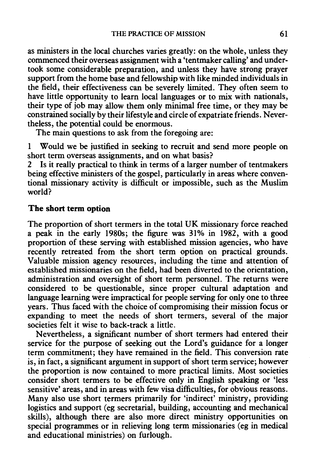as ministers in the local churches varies greatly: on the whole, unless they commenced their overseas assignment with a 'tentmaker calling' and undertook some considerable preparation, and unless they have strong prayer support from the home base and fellowship with like minded individuals in the field, their effectiveness can be severely limited. They often seem to have little opportunity to learn local languages or to mix with nationals, their type of job may allow them only minimal free time, or they may be constrained socially by their lifestyle and circle of expatriate friends. Nevertheless, the potential could be enormous.

The main questions to ask from the foregoing are:

1 Would we be justified in seeking to recruit and send more people on short term overseas assignments, and on what basis?

Is it really practical to think in terms of a larger number of tentmakers being effective ministers of the gospel, particularly in areas where conventional missionary activity is difficult or impossible, such as the Muslim world?

## **The short term option**

The proportion of short termers in the total UK missionary force reached a peak in the early 1980s; the figure was 31% in 1982, with a good proportion of these serving with established mission agencies, who have recently retreated from the short term option on practical grounds. Valuable mission agency resources, including the time and attention of established missionaries on the field, had been diverted to the orientation, administration and oversight of short term personnel. The returns were considered to be questionable, since proper cultural adaptation and language learning were impractical for people serving for only one to three years. Thus faced with the choice of compromising their mission focus or expanding to meet the needs of short termers, several of the major societies felt it wise to back-track a little.

Nevertheless, a significant number of short termers had entered their service for the purpose of seeking out the Lord's guidance for a longer term commitment; they have remained in the field. This conversion rate is, in fact, a significant argument in support of short term service; however the proportion is now contained to more practical limits. Most societies consider short termers to be effective only in English speaking or 'less sensitive' areas, and in areas with few visa difficulties, for obvious reasons. Many also use short termers primarily for 'indirect' ministry, providing logistics and support (eg secretarial, building, accounting and mechanical skills), although there are also more direct ministry opportunities on special programmes or in relieving long term missionaries (eg in medical and educational ministries) on furlough.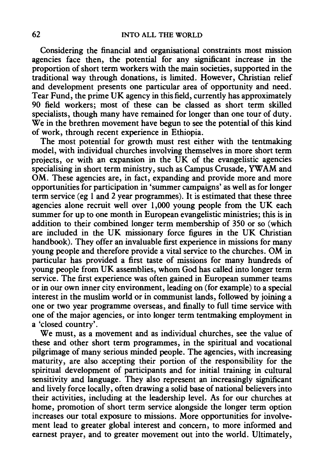Considering the financial and organisational constraints most mission agencies face then, the potential for any significant increase in the proportion of short term workers with the main societies, supported in the traditional way through donations, is limited. However, Christian relief and development presents one particular area of opportunity and need. Tear Fund, the prime UK agency in this field, currently has approximately 90 field workers; most of these can be classed as short term skilled specialists, though many have remained for longer than one tour of duty. We in the brethren movement have begun to see the potential of this kind of work, through recent experience in Ethiopia.

The most potential for growth must rest either with the tentmaking model, with individual churches involving themselves in more short term projects, or with an expansion in the UK of the evangelistic agencies specialising in short term ministry, such as Campus Crusade, YW AM and OM. These agencies are, in fact, expanding and provide more and more opportunities for participation in 'summer campaigns' as well as for longer term service (eg 1 and 2 year programmes). It is estimated that these three agencies alone recruit well over 1,000 young people from the UK each summer for up to one month in European evangelistic ministries; this is in addition to their combined longer term membership of 350 or so (which are included in the UK missionary force figures in the UK Christian handbook). They offer an invaluable first experience in missions for many young people and therefore provide a vital service to the churches. OM in particular has provided a first taste of missions for many hundreds of young people from UK assemblies, whom God has called into longer term service. The first experience was often gained in European summer teams or in our own inner city environment, leading on (for example) to a special interest in the muslim world or in communist lands, followed by joining a one or two year programme overseas, and finally to full time service with one of the major agencies, or into longer term tentmaking employment in a 'closed country'.

We must, as a movement and as individual churches, see the value of these and other short term programmes, in the spiritual and vocational pilgrimage of many serious minded people. The agencies, with increasing maturity, are also accepting their portion of the responsibility for the spiritual development of participants and for initial training in cultural sensitivity and language. They also represent an increasingly significant and lively force locally, often drawing a solid base of national believers into their activities, including at the leadership level. As for our churches at home, promotion of short term service alongside the longer term option increases our total exposure to missions. More opportunities for involvement lead to greater global interest and concern, to more informed and earnest prayer, and to greater movement out into the world. Ultimately,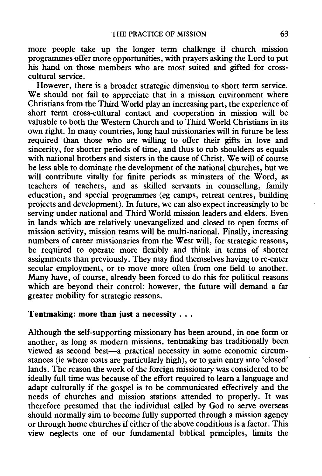more people take up the longer term challenge if church mission programmes offer more opportunities, with prayers asking the Lord to put his hand on those members who are most suited and gifted for crosscultural service.

However, there is a broader strategic dimension to short term service. We should not fail to appreciate that in a mission environment where Christians from the Third World play an increasing part, the experience of short term cross-cultural contact and cooperation in mission will be valuable to both the Western Church and to Third World Christians in its own right. In many countries, long haul missionaries will in future be less required than those who are willing to offer their gifts in love and sincerity, for shorter periods of time, and thus to rub shoulders as equals with national brothers and sisters in the cause of Christ. We will of course be less able to dominate the development of the national churches, but we will contribute vitally for finite periods as ministers of the Word, as teachers of teachers, and as skilled servants in counselling, family education, and special programmes (eg camps, retreat centres, building projects and development). In future, we can also expect increasingly to be serving under national and Third World mission leaders and elders. Even in lands which are relatively unevangelized and closed to open forms of mission activity, mission teams will be multi-national. Finally, increasing numbers of career missionaries from the West will, for strategic reasons, be required to operate more flexibly and think in terms of shorter assignments than previously. They may find themselves having to re-enter secular employment, or to move more often from one field to another. Many have, of course, already been forced to do this for political reasons which are beyond their control; however, the future will demand a far greater mobility for strategic reasons.

## Tentmaking: more than just a necessity  $\dots$

Although the self-supporting missionary has been around, in one form or another, as long as modern missions, tentmaking has traditionally been viewed as second best-a practical necessity in some economic circumstances (ie where costs are particularly high), or to gain entry into 'closed' lands. The reason the work of the foreign missionary was considered to be ideally full time was because of the effort required to learn a language and adapt culturally if the gospel is to be communicated effectively and the needs of churches and mission stations attended to properly. It was therefore presumed that the individual called by God to serve overseas should normally aim to become fully supported through a mission agency or through home churches if either of the above conditions is a factor. This view neglects one of our fundamental biblical principles, limits the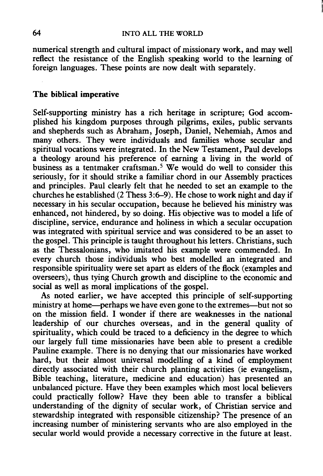numerical strength and cultural impact of missionary work, and may well reflect the resistance of the English speaking world to the learning of foreign languages. These points are now dealt with separately.

#### The biblical imperative

Self-supporting ministry has a rich heritage in scripture; God accomplished his kingdom purposes through pilgrims, exiles, public servants and shepherds such as Abraham, Joseph, Daniel, Nehemiah, Amos and many others. They were individuals and families whose secular and spiritual vocations were integrated. In the New Testament, Paul develops a theology around his preference of earning a living in the world of business as a tentmaker craftsman.<sup>5</sup> We would do well to consider this seriously, for it should strike a familiar chord in our Assembly practices and principles. Paul clearly felt that he needed to set an example to the churches he established  $(2$  Thess 3:6-9). He chose to work night and day if necessary in his secular occupation, because he believed his ministry was enhanced, not hindered, by so doing. His objective was to model a life of discipline, service, endurance and holiness in which a secular occupation was integrated with spiritual service and was considered to be an asset to the gospel. This principle is taught throughout his letters. Christians, such as the Thessalonians, who imitated his example were commended. In every church those individuals who best modelled an integrated and responsible spirituality were set apart as elders of the flock (examples and overseers), thus tying Church growth and discipline to the economic and social as well as moral implications of the gospel.

As noted earlier, we have accepted this principle of self-supporting ministry at home—perhaps we have even gone to the extremes—but not so on the mission field. I wonder if there are weaknesses in the national leadership of our churches overseas, and in the general quality of spirituality, which could be traced to a deficiency in the degree to which our largely full time missionaries have been able to present a credible Pauline example. There is no denying that our missionaries have worked hard, but their almost universal modelling of a kind of employment directly associated with their church planting activities (ie evangelism, Bible teaching, literature, medicine and education) has presented an unbalanced picture. Have they been examples which most local believers could practically follow? Have they been able to transfer a biblical understanding of the dignity of secular work, of Christian service and stewardship integrated with responsible citizenship? The presence of an increasing number of ministering servants who are also employed in the secular world would provide a necessary corrective in the future at least.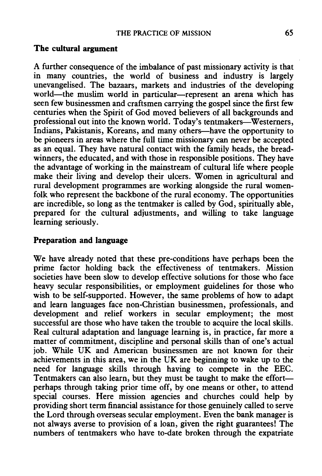## **The cultural argument**

A further consequence of the imbalance of past missionary activity is that in many countries, the world of business and industry is largely unevangelised. The bazaars, markets and industries of the developing world-the muslim world in particular-represent an arena which has seen few businessmen and craftsmen carrying the gospel since the first few centuries when the Spirit of God moved believers of all backgrounds and professional out into the known world. Today's tentmakers---Westerners, Indians, Pakistanis, Koreans, and many others-have the opportunity to be pioneers in areas where the full time missionary can never be accepted as an equal. They have natural contact with the family heads, the breadwinners, the educated, and with those in responsible positions. They have the advantage of working in the mainstream of cultural life where people make their living and develop their ulcers. Women in agricultural and rural development programmes are working alongside the rural womenfolk who represent the backbone of the rural economy. The opportunities are incredible, so long as the tentmaker is called by God, spiritually able, prepared for the cultural adjustments, and willing to take language learning seriously.

### **Preparation and language**

We have already noted that these pre-conditions have perhaps been the prime factor holding back the effectiveness of tentmakers. Mission societies have been slow to develop effective solutions for those who face heavy secular responsibilities, or employment guidelines for those who wish to be self-supported. However, the same problems of how to adapt and learn languages face non-Christian businessmen, professionals, and development and relief workers in secular employment; the most successful are those who have taken the trouble to acquire the local skills. Real cultural adaptation and language learning is, in practice, far more a matter of commitment, discipline and personal skills than of one's actual job. While UK and American businessmen are not known for their achievements in this area, we in the UK are beginning to wake up to the need for language skills through having to compete in the EEC. Tentmakers can also learn, but they must be taught to make the effortperhaps through taking prior time off, by one means or other, to attend special courses. Here mission agencies and churches could help by providing short term financial assistance for those genuinely called to serve the Lord through overseas secular employment. Even the bank manager is not always averse to provision of a loan, given the right guarantees! The numbers of tentmakers who have to-date broken through the expatriate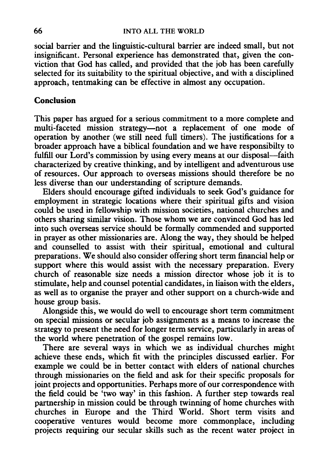social barrier and the linguistic-cultural barrier are indeed small, but not insignificant. Personal experience has demonstrated that, given the conviction that God has called, and provided that the job has been carefully selected for its suitability to the spiritual objective, and with a disciplined approach, tentmaking can be effective in almost any occupation.

### **Conclusion**

This paper has argued for a serious commitment to a more complete and multi-faceted mission strategy-not a replacement of one mode of operation by another (we still need full timers). The justifications for a broader approach have a biblical foundation and we have responsibilty to fulfill our Lord's commission by using every means at our disposal—faith characterized by creative thinking, and by intelligent and adventurous use of resources. Our approach to overseas missions should therefore be no less diverse than our understanding of scripture demands.

Elders should encourage gifted individuals to seek God's guidance for employment in strategic locations where their spiritual gifts and vision could be used in fellowship with mission societies, national churches and others sharing similar vision. Those whom we are convinced God has led into such overseas service should be formally commended and supported in prayer as other missionaries are. Along the way, they should be helped and counselled to assist with their spiritual, emotional and cultural preparations. We should also consider offering short term financial help or support where this would assist with the necessary preparation. Every church of reasonable size needs a mission director whose job it is to stimulate, help and counsel potential candidates, in liaison with the elders, as well as to organise the prayer and other support on a church-wide and house group basis.

Alongside this, we would do well to encourage short term commitment on special missions or secular job assignments as a means to increase the strategy to present the need for longer term service, particularly in areas of the world where penetration of the gospel remains low.

There are several ways in which we as individual churches might achieve these ends, which fit with the principles discussed earlier. For example we could be in better contact with elders of national churches through missionaries on the field and ask for their specific proposals for joint projects and opportunities. Perhaps more of our correspondence with the field could be 'two way' in this fashion. A further step towards real partnership in mission could be through twinning of home churches with churches in Europe and the Third World. Short term visits and cooperative ventures would become more commonplace, including projects requiring our secular skills such as the recent water project in